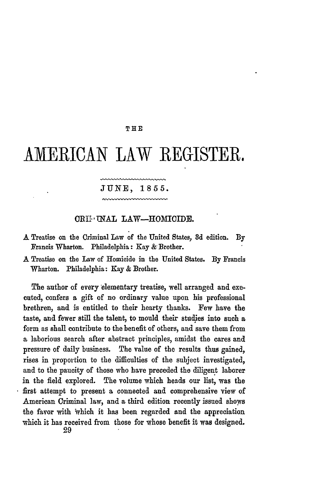## THE

## **AMERICAN** LAW REGISTER.

## **JUNE,** 1855. ...................

## CRII INAL LAW-HOMICIDE.

- A Treatise on the Criminal Law of the United States, **3d** edition. **By** Francis Wharton. Philadelphia: Kay & Brother.
- A Treatise on the Law of Homicide in the United States. **By** Francis Wharton. Philadelphia: Kay & Brother.

The author of every elementary treatise, well arranged and executed, confers **a** gift of no ordinary value upon his professional brethren, and is entitled to their hearty thanks. Few have the taste, and fewer still the talent, to mould their studies into such a form as shall contribute to the benefit of others, and save them from a laborious search after abstract principles, amidst the cares and pressure of daily business. The value of the results thus gained, rises in proportion to the difficulties of the subject investigated, and to the paucity of those who have preceded the diligent laborer in the field explored. The volume which heads our list, was the first attempt to present a connected and comprehensive view of American Criminal law, and **a** third edition recently issued shows the favor with which it has been regarded and the appreciation which it has received from those for whose benefit it was designed.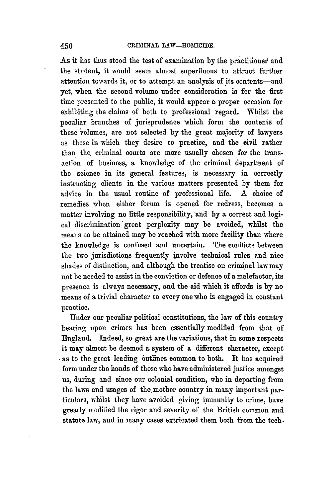As it has thus stood the test of examination **by** the practitionef and the student, it would seem almost superfluous to attract further attention towards it, or to attempt an analysis of its contents-and yet, when the second volume under consideration is for the first time presented to the public, it would appear a proper occasion for exhibiting the claims of both to professional regard. Whilst the peculiar branches of jurisprudence which form the contents of these volumes, are not selected **by** the great majority of lawyers as those in which they desire to practice, and the civil rather than the, criminal courts are more usually chosen for the transaction of business, **a** knowledge of the criminal department of the science in its general features, is necessary in correctly instructing clients in the various matters presented **by** them for advice in the usual routine of professional life. **A** choice of remedies when either forum is opened for redress, becomes a matter involving no little responsibility, and **by** a correct and logical discrimination 'great perplexity may **be** avoided, whilst the means to be attained may be reached with more facility than where the knowledge is confused and uncertain. The conflicts between the two jurisdictions frequently involve technical rules and nice shades of distinction, and although the treatise on criminal law may not be needed to assist in the conviction or defence of a malefactor, its presence is always necessary, and the aid which it affords is **by** no means of a trivial character to every one who is engaged in constant practice.

Under our peculiar political constitutions, the law of this country bearing upon crimes has been essentially modified from that of England. Indeed, so great are the variations, that in some respects it may almost be deemed a system of a different character, except as to the great leading outlines common to both. It has acquired form under the hands of those who have administered justice amongst **us,** during and since our colonial condition, who in departing from the laws and usages of the, mother country in many important particulars, whilst they have avoided giving immunity to crime, have greatly modified the rigor and severity of the British common and statute law, and in many cases extricated them both from the tech-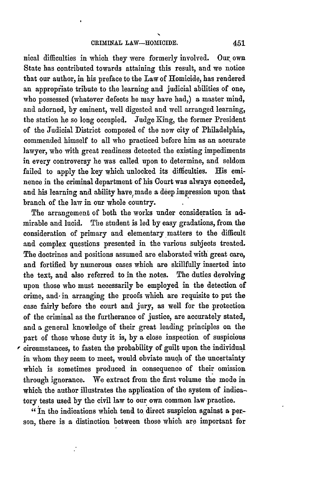nical difficulties in which they were formerly involved. Our own State has contributed towards attaining this result, and we notice that our author, in his preface to the Law of Homicide, has rendered an appropiiate tribute to the learning and judicial abilities of one, who possessed (whatever defects he may have had,) a master mind, and adorned, **by** eminent, well digested and well arranged learning, the station he so long occupied. Judge King, the former President of the Judicial District composed of the now city of Philadelphia, commended himself to all who practiced before him as an accurate lawyer, who with great readiness detected the existing impediments in every controversy he was called upon to determine, and seldom failed to apply the key which unlocked its difficulties. His eminence in the criminal department of his Court was always conceded, and his learning and ability have, made **a** deep impression upon that branch of the law in our whole country.

The arrangement of both the works under consideration is admirable and lucid. The student is led **by** easy gradations, from the consideration of primary and elementary matters to the difficult and complex questions presented in the various subjects treated. The doctrines and positions assumed are elaborated with great care, and fortified **by** numerous cases which are skillfully inserted into the text, and also referred to in the notes. The duties devolving upon those who must necessarily be employed in the detection of crime, and- in arranging the proofs which are requisite to put the case fairly before the court and jury, as well for the protection of the criminal as the furtherance of justice, are accurately stated, **and** a general knowledge of their great leading principles on the part of those whose duty it is, **by** a **close** inspection of suspicious circumstances, to fasten the probability of guilt upon the individual in whom they seem to meet, would obviate much of the uncertainty which is sometimes produced in consequence of their omission through ignorance. We extract from the first volume the mode in which the author illustrates the application of the system of indicatory tests used **by** the civil law to our own common law practice.

**"In** the indications which tend to direct suspicion against a person, there is a distinction between those which are important for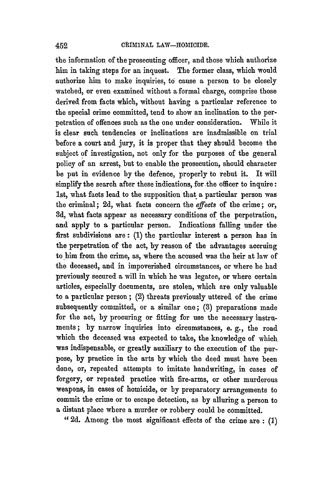the information of the prosecuting officer, and those which authorize him in taking steps for an inquest. The former class, which would authorize him to make inquiries, **to** cause **a** person to be closely watched, or even examined without a formal charge, comprise those derived from facts which, without having a particular reference to the special crime committed, tend to show an inclination to the perpetration of offences such as the one under consideration. While it is clear such tendencies or inclinations are inadmissible on trial before **a** court and jury, it is proper that they should become the subject of investigation, not only for the purposes of the general policy of an arrest, but to enable the prosecution, should character be put in evidence **by** the defence, properly to rebut it. It will simplify the search after these indications, for.the officer to inquire: 1st, what facts lead to the supposition that a particular person was the criminal; **2d,** what facts concern the effects of the crime; or, **3d,** what facts appear as necessary conditions of the perpetration, and apply to a particular person. Indications falling under the first subdivisions are: (1) the particular interest a person has in the perpetration of the act, **by** reason of the advantages accruing to him from the crime, as, where the, accused was the heir at law of the deceased, and in impoverished circumstances, or where he had previously secured **a** will in which he was legatee, or where certain articles, especially documents, are stolen, which are only valuable to a particular person **;** (2) threats previously uttered of the crime subsequently committed, or a similar one; **(3)** preparations made for the act, **by** procuring or fitting for use the necessary instruments; **by** narrow inquiries into circumstances, e. **g.,** the road which the deceased was expected to take, the knowledge of which was indispensable, or greatly auxiliary to the execution of the purpose, **by** practice in the arts **by** which the deed must have been done, or, repeated attempts to imitate handwriting, in cases of forgery, or repeated practice with fire-arms, or other murderous weapons, in cases of homicide, or **by** preparatory arrangements to commit the crime or to escape detection, as **by** alluring a person to a distant place where a murder or robbery could be committed.

**" 2d.** Among the most significant effects of the crime are **: (1)**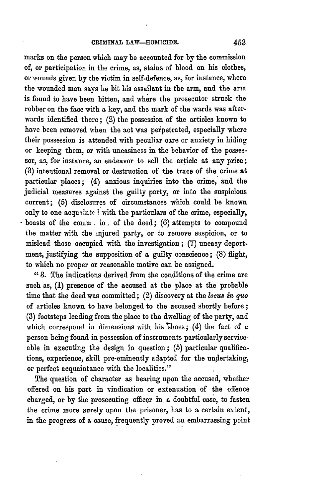marks on the person which may be accounted for **by** the commission of, or participation in the crime, as, stains of blood on his clothes, or wounds given **by** the victim in self-defence, as, for instance, where the wounded man says he bit his assailant in the arm, and the arm is found to have been bitten, and where the prosecutor struck the robber on the face with a key, and the mark of the wards was afterwards identified there; (2) the possession of the articles known to have been removed when the act was perpetrated, especially where their possession is attended with peculiar care or anxiety in hiding or keeping them, or with uneasiness in the behavior of the possessor, as, for instance, an endeavor to sell the article at any price; **(3)** intentional removal or destruction of the trace of the crime at particular places; (4) anxious inquiries into the crime, and the judicial measures against the guilty party, or into the suspicious current; **(5)** disclosures of circumstances which could be known only to one acquainte I with the particulars of the crime, especially, boasts of the comm **io.** of the deed; **(6)** attempts to compound the matter with the injured party, or to remove suspicion, or to mislead those occupied with the investigation; **(7)** uneasy deportment, justifying the supposition of a guilty conscience; (8) flight, to which no proper or reasonable motive can be assigned.

**"3.** The indications derived from the conditions of the crime are such as, **(1)** presence of the accused at the place at the probable time that the deed was committed; (2) discovery at the *locus in quo* of articles known to have belonged to the accused shortly before **; (3)** footsteps leading from the place to the dwelling of the party, and which correspond in dimensions with his shoes; (4) the fact of a person being found in possession of instruments particularly serviceable in executing the design in question; **(5)** particular qualifications, experience, skill pre-eminently adapted for the undertaking, or perfect acquaintance with the localities."

The question of character as bearing upon the accused, whether offered on his part in vindication or extenuation of the offence charged, or **by** the prosecuting officer in a doubtful case, to fasten the crime more surely upon the prisoner, has to a certain extent, in the progress of a cause, frequently proved an embarrassing point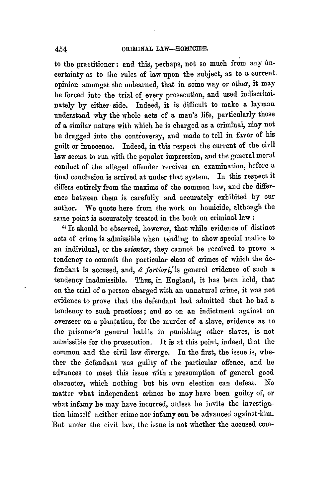to the practitioner: and this, perhaps, not so much from any uncertainty as to the rules of law upon the subject, as to a current opinion amongst the unlearned, that in some way or other, it may be forced into the trial of every prosecution, and used indiscriminately **by** either- side. Indeed, it is difficult to make a layman understand why the whole acts of a man's life, particularly those of a similar nature with which he is charged as a criminal, niay not be dragged into the contioversy, and made to tell in favor of his guilt or innocence. Indeed, in this respect the current of the civil law seems to run with the popular impression, and the general moral conduct of the alleged offender receives an examination, before a final conclusion is arrived at under that system. In this respect it differs entirely from the maxims of the common law, and the difference between them is carefully and accurately exhibited **by** our author. We quote here from the work on homicide, although the same point is accurately treated in the book on criminal law **:**

"It should be observed, however, that while evidence of distinct acts of crime is admissible when tending to show special malice to an individual, or the *scienter*, they cannot be received to prove a tendency to commit the particular class of crimes of which the defendant is accused, and, *d fortiori,'is* general evidence of such a tendency inadmissible. Thus, in England, it has been held, that on the trial of a person charged with an unnatural crime, it was not evidence to prove that the defendant had admitted that he had a tendency to such practices; and so on an indictment against an overseer on a plantation, for the murder of a slave, evidence as to the prisoner's general habits in punishing other slaves, is not admissible for the prosecution. It is at this point, indeed, that the common and the civil law diverge. In the first, the issue is, whether the defendant was guilty of the particular offence, and he advances to meet this issue with a presumption of general good character, which nothing but his own election can defeat. **INo** matter what independent crimes he may have been guilty of, or what infamy he may have incurred, unless he invite the investigation himself neither crime nor infamy can be advanced against-him. But under the civil law, the issue is not whether the accused com-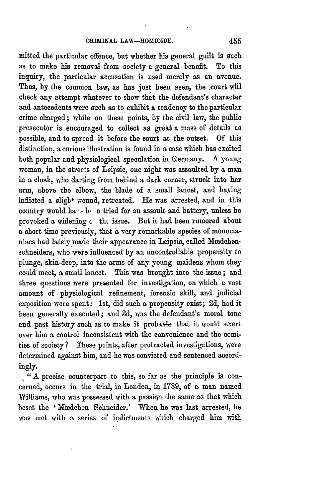mitted the particular offence, but whether his general guilt is such as to make his removal from society a general benefit. To this inquiry, the particular accusation is used merely as an avenue. Thus, **by** the common law, as has just been seen, the .court will check any attempt whatever to show that the defendant's character and antecedents were such as to exhibit a tendency to the particular crime charged; while on these points, by the civil law, the public prosecutor is encouraged to collect as great a mass of details as possible, and to spread it before the court at the outset. Of this distinction, a curious illustration is found in a case which has excited both popular and physiological speculation in Germany. A young woman, in the streets of Leipsic, one night was assaulted **by** a man in a cloak, who darting from behind a dark corner, struck into her arm, above the elbow, the blade of a small lancet, and having inflicted a slight wound, retreated. He was arrested, and in this country would har,, **b.** a tried for an assault and battery, unless he provoked a widening  $G$  the issue. But it had been rumored about a short time previously, that a very remarkable species of monomaniacs had lately made their appearance in Leipsic, called Mædchenschneiders, who were influenced **by** an uncontrollable propensity to plunge, skin-deep, into the arms of any young maidens whom they could meet, a small lancet. This was brought into the issue; and three questions were presented for investigation, on which a vast amount of physiological refinement, forensic skill, and judicial exposition were spent: 1st, did such a propensity exist; **2d,** had it been generally executed; and **3d,** was the defendant's moral tone and past history such as to make it probable that it would exert over him **a** control inconsistent with the convenience and the comities of society? These points, after protracted investigations, were determined against him, and he was convicted and sentenced accordingly.

**"A** precise counterpart to this, so far as the principle is concerned, occurs in the trial, in London, in 1789, of a man named Williams, who was possessed with a passion the same as that which beset the 'Mædchen Schneider.' When he was last arrested, he was met with a series of indictments which charged him with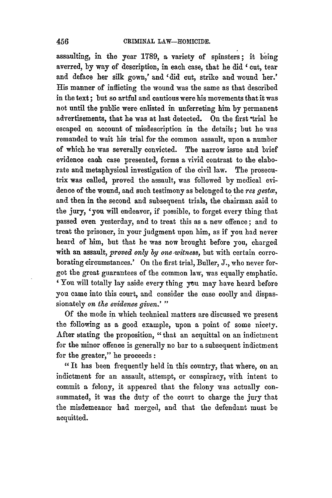assaulting, in the year **1789,** a variety of spinsters; it being averred, **by** way of description, in each case, that he did ' cut, tear and deface her silk gown,' and 'did cut, strike and wound her.' His manner of inflicting the wound was the same as that described in the text; but so artful and cautious were his movements that it was not until the public were enlisted in unferreting him **by** permanent advertisements, that he was at last detected. On the first trial he escaped on account of misdescription in the details; but he was remanded to wait his trial for the common assault, upon a number of which he was severally convicted. The narrow issue and brief evidence eaoh case presented, forms a vivid contrast to the elaborate and metaphysical investigation of the civil law. The prosecutrix was called, proved the assault, was followed by medical evidence of the wound, and such testimony as belonged to the *res gestce,* and then in the second and subsequent trials, the chairman said to the jury, 'you will endeavor, if possible, to forget every thing that passed even yesterday, and to treat this as a new offence; and to treat the prisoner, in your judgment upon him, as if you had never heard of him, but that he was now brought before you, charged with an assault, *proved only by one -witness,* but with certain corroborating circumstances.' On the first trial, Buller, J., who never forgot the great guarantees of the common law, was equally emphatic. ' You will totally lay aside every thing you may have heard before you came into this court, and consider the case coolly and dispassionately *on* the *evidence given.'"*

Of the mode in which technical matters are discussed we present the following as a good example, upon a point of some nicety. After stating the proposition, "that an acquittal on an indictment for the minor offence is generally no bar to a subsequent indictment for the greater," he proceeds **:**

"It has been frequently held in this country, that where, on an indictment for an assault, attempt, or conspiracy, with intent to commit a felony, it appeared that the felony was actually consummated, it was the duty of the court to charge the jury that the misdemeanor had merged, and that the defendant must be acquitted.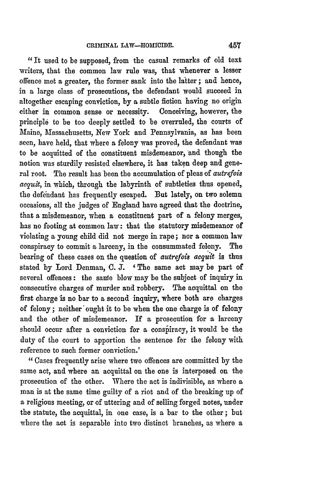"It used to be supposed, from the casual remarks of old text writers, that the common law rule was, that whenever a lesser offence met a greater, the former sank into the latter; and hence, in a large class of prosecutions, the defendant would succeed in altogether escaping conviction, by a subtle fiction having no origin either in common sense or necessity. Conceiving, however, the principle to be too deeply settled to be overruled, the courts of Maine, Massachusetts, New York and Pennsylvania, as has been seen, have held, that where a felony was proved, the defendant was to be acquitted of the constituent misdemeanor, 'and though the notion was sturdily resisted elsewhere, it has taken deep and general root. The result has been the accumulation of pleas of *autrefois acquit,* in which, through the labyrinth of subtleties thus opened, the defendant has frequently escaped. But lately, on two solemn occasions, all the judges of England have agreed that the doctrine, that a misdemeanor, when **a** constituent part of a felony merges, has no footing at common law: that the statutory misdemeanor of violating a young child did not merge in rape; nor a common law conspiracy to commit a larceny, in the consummated felony. The bearing of these cases on the question of *autrefoia acquit is* thus stated **by** Lord Denman, C. **J.** *'* The same act may be part of several offences: the sane blow may be the subject of inquiry in consecutive charges of murder and robbery. The acquittal on the first charge is no bar to a second inquiry, where both are charges of felony; neither ought it to be when the one charge is of felony and the other of misdemeanor. If a prosecution for **a** larceny should occur after a conviction for a conspiracy, it would be the duty of the court to apportion the sentence for the felony with reference to such former conviction.'

"Cases frequently arise where two offences are committed **by** the same act, and where an acquittal on the one is interposed on the prosecution of the other. Where the act is indivisible, as where **a** man is at the same time guilty of a riot and of the breaking up of a religious meeting, or of uttering and of selling forged notes, under the statute, the acquittal, in one case, is a bar to the other; but where the act is separable into two distinct branches, as where a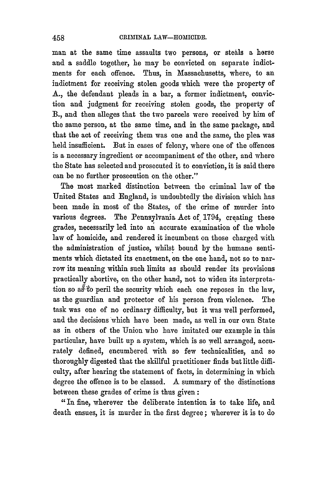man at the same time assaults two persons, or steals a horse and a saddle together, he may be convicted on separate indictments for each offence. Thus, in Massachusetts, where, to an indictment for receiving stolen goods which were the property of **A.,** the defendant pleads in a bar, a former indictment, conviction and judgment for receiving stolen goods, the property of B., and then alleges that the two parcels were received **by** him of the same person, at the same time, and in the same package, and that the act of receiving them was one and the same, the plea was held insufficient. But in cases of felony, where one of the offences is a necessary ingredient or accompaniment of the other, and where the State has selected and prosecuted it to conviction, it is said there can be no further prosecution on the other."

The most marked distinction between the criminal law of the United States and England, is undoubtedly the division which has been made in most of the States, of the crime of murder into various degrees. The Pennsylvania Act of 1794, creating these grades, necessarily led into an accurate examination of the whole law of homicide, and rendered it incumbent on those charged with the administration of justice, whilst bound **by** the humane sentiments which dictated its enactment, on the one hand, not so to narrow its meaning within such limits as should render its provisions practically abortive, on the other hand, not to widen its interpretation so as to peril the security which each one reposes in the law, as the guardian and protector of his person from violence. The task was one of no ordinary difficulty, but it was well performed, and the decisions which have been made, as well in our own State as in others of the Union who have imitated our example in this particular, have built up a system, which is so well arranged, accurately defined, encumbered with so few technicalities, and so thoroughly digested that the skillful practitioner finds but little difficulty, after hearing the statement of facts, in determining in which degree the offence is to be classed. A summary of the distinctions between these grades of crime is thus given:

*"In* fine, wherever the deliberate intention is to take life, and death ensues, it is murder in the first degree; wherever it is to do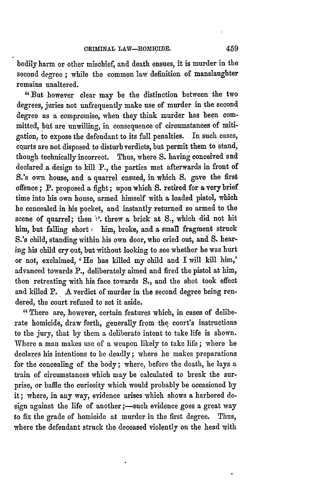bodily harm or other mischief, and death ensues, it is murder in the second degree **;** while the common law definition of manslaughter remains unaltered.

"But however clear may be the distinction between the two degrees, juries not unfrequently make use of murder in the second degree as a compromise, when they think murder has been committed, bit are unwilling, in consequence of circumstances of mitigation, to expose the defendant to its full penalties. In such cases, courts are not disposed to disturb verdicts, but permit them to stand, though technically incorrect. Thus, where **S.** having conceived and declared a design to kill P., the parties met afterwards in front of S.'s own house, and a quarrel ensued, in which **S.** gave the first offence; **P.** proposed a fight; upon which **S.** retired for a very brief time into his own house, armed himself with a loaded pistol, which he concealed in his pocket, and instantly returned so armed to the scene of quarrel; then **'.** threw a brick at **S.,** which did not hit him, but falling short **(** him, broke, and a small fragment struck S.'s child, standing within his own door, who cried out, and **S.** hearing his child cry out, but without looking to see whether he was hurt or not, exclaimed, ' He has killed my child and I will kill him,' advanced towards P., deliberately aimed and fired the pistol at him, then retreating with his face towards **S.,** and the shot took effect and killed P. **A** verdict of murder in the second degree being rendered, the court refused to set it aside.

"There are, however, certain features which, in cases of deliberate homicide, draw forth, generally from the court's instructions to the jury, that **by** them a deliberate intent to take life is shown. Where a man makes use of a weapon likely to take life; where he declares his intentions to be deadly; where he makes preparations for the concealing of the body; where, before the death, he lays a train of circumstances which may be calculated to break the surprise, or baffle the curiosity which would probably be occasioned **by** it; where, in any way, evidence arises which shows a harbored design against the life of another ;- such evidence goes a great way to fix the grade of homicide at murder in the first degree. Thus, where the defendant struck the deceased violently on the head with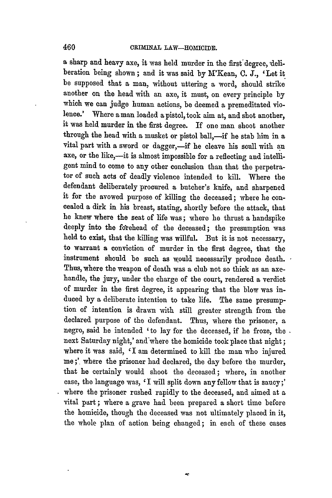a sharp and heavy axe, it was held murder in the first degree, deliberation being shown; and it was said **by** M'Kean, **0. J.,** 'Let it be supposed that a man, without uttering a word, should strike another on the head with **an** axe, it must, on every principle **by** which we can judge human actions, be deemed a premeditated violence.' Where a man loaded a pistol, took aim at, and shot another, it was held murder in the first degree. If one man shoot another through the head with a musket or pistol ball,-if he stab him in a vital part with a sword or dagger,-if he cleave his scull with an axe, or the like,--it is almost impossible for a reflecting and intelligent mind to come to any other conclusion than that the perpetrator of such acts of deadly violence intended to kill. Where the defendant deliberately procured **a** butcher's knife, and sharpened it for the avowed purpose of killing the deceased; where he concealed a dirk in his breast, stating, shortly before the attack, that he knew where the seat of life was; where he thrust a handspike deeply into the forehead of the deceased; the presumption was held to exist, that the killing was willful. But it is not necessary, to warrant a conviction of murder in the first degree, that the instrument should be such as would necessarily produce death. Thus, where the weapon of death was a club not so thick as an axehandle, the jury, under the charge of the court, rendered a verdict of murder in the first degree, it appearing that the blow was induced **by** a deliberate intention to take life. The same presumption of intention is drawn with still greater strength from the declared purpose of the defendant. Thus, where the prisoner, a negro, said he intended 'to lay for the deceased, if he froze, the next Saturday night,' and where the homicide took place that night; where it was said, *'* I am determined to kill the man who injured me;' where the prisoner had declared, the day before the murder, that he certainly would shoot the deceased; where, in another case, the language was, 'I will split down any fellow that is saucy;' where the prisoner rushed rapidly to the deceased, and aimed at **a** vital part; where a grave had been prepared a short time before the homicide, though the deceased was not ultimately placed in it, the whole plan of action being changed; in each of these cases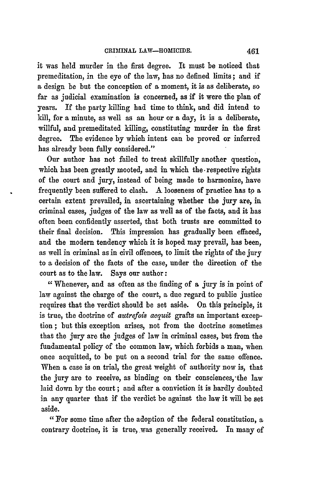it was held murder in the first degree. It must be noticed that premeditation, in the eye of the law, has no defined limits; and if a design be but the conception of **a** moment, it is as deliberate, so far as judicial examination is concerned, as if it were the plan of years. If the party killing had time to think, and did intend to kill, for a minute, as well as **an** hour or a day, it is a deliberate, willful, and premeditated killing, constituting murder in the first degree. The evidence **by** which intent can be proved or inferred has already been fully considered."

Our author has not failed to treat skillfully another question, which has been greatly mooted, and in which the respective rights of the court and jury, instead of being made to harmonize, have frequently been suffered to clash. **A** looseness of practice has **to** a certain extent prevailed, in ascertaining whether the jury are, in criminal cases, judges of the law as well as of the facts, and it has often been confidently asserted, that both trusts are committed to their final decision. This impression has gradually been effaced, and the modern tendency which it is hoped may prevail, has been, as well in criminal as in civil offences, to limit the rights of the jury to a decision of the facts of the case, under the direction of the court as to the law. Says our author:

"Whenever, and as often as the finding of **a** jury is in point of law against the charge of the court, a due regard to public justice requires that the verdict should be set aside. On this principle, it is true, the doctrine of *autrefois acquit* grafts an important exception; but this exception arises, not from the doctrine sometimes that the jury are the judges of law in criminal cases, but from the fundamental policy of the common law, which forbids a man, when once acquitted, to be put on a second trial for the same offence. When a case is on trial, the great weight of authority now is, that the jury are to receive, as binding on their consciences, the law laid down **by** the court; and after a conviction it is hardly doubted in any quarter that if the verdict be against the law it will be set aside.

**"1For** some time after the adoption of the federal constitution, a contrary doctrine, it is true, was generally received. In many of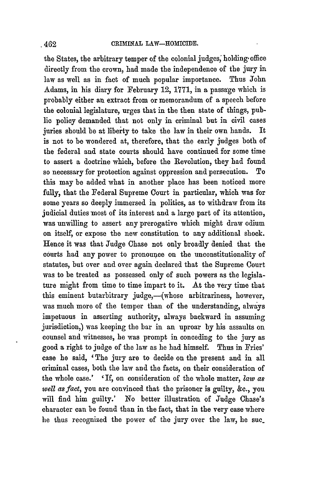the States, the arbitrary temper of the colonial judges, holding office directly from the crown, had made the independence of the jury in law as well as in fact of much popular importance. Thus John Adams, in his diary for February 12, **1771,** in a passage which is probably either an extract from or memorandum of a speech before the colonial legislature, urges that in the then state of things, public policy demanded that not only in criminal but in civil cases juries should be at liberty to take the law in their own hands. It is not to be wondered at, therefore, that the early judges both of the federal and state courts should have continued for some time to assert a doctrine which, before the Revolution, they had found so necessary for protection against oppression and persecution. To this may be added what in another place has been noticed more fully, that the Federal Supreme Court in particular, which was for some years so deeply immersed in politics, as to withdraw from its judicial duties most of its interest and a large part of its attention, was unwilling to assert any prerogative which might draw odium on itself, or expose the new constitution to any additional shock. Hence it was that Judge Chase not only broadly denied that the courts had any power to pronounce on the unconstitutionality of statutes, but over and over again declared that the Supreme Court was to be treated as possessed only of such powers as the legislature might from time to time impart to it. At the very time that this eminent butarbitrary judge,-(whose arbitrariness, however, was much more of the temper than of the understanding, always impetuous in asserting authority, always backward in assuming jurisdiction,) was keeping the bar in an uproar by his assaults on counsel and witnesses, he was prompt in conceding to the jury as good a right to judge of the law as he had himself. Thus in Fries' case he said, 'The jury are to decide on the present and in all criminal cases, both the law and the facts, on their consideration of the whole case.' 'If, on consideration of the whole matter, law as well as fact, you are convinced that the prisoner is guilty, &c., you will find him guilty.' No better illustration of Judge Chase's character can be found than in the fact, that in the very case where he thus recognized the power of the jury over the law, he suc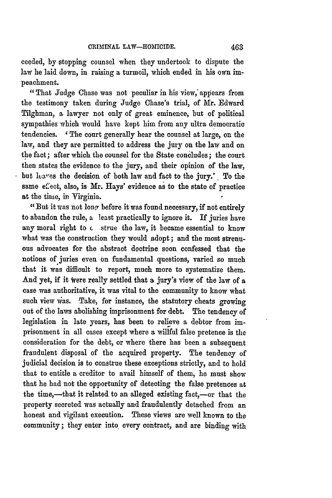ceeded, by stopping counsel when they undertook to dispute the law he laid down, in raising a turmoil, which ended in his own impeachment.

"That Judge Chase was not peculiar in his view, appears from the testimony taken during Judge Chase's trial, of Mr. Edward Tilghman, **a** lawyer not only of great eminence, but of political sympathies which would have kept him from any ultra democratic tendencies. ' The court generally hear the counsel at large, on the law, and they are permitted to address the jury on the law and on the fact; after which the counsel for the State concludes; the court then states the evidence to the jury, and their opinion of the law, but leaves the decision of both law and fact to the jury.' To the same effect, also, is Mr. Hays' evidence as to the state of practice at the time, in Virginia.

 $\mathbb{Z}^{\mathbb{Z}}$ 

"But it was not long before it was found necessary, if not entirely to abandon the rule, a least practically to ignore it. If juries have any moral right to  $\epsilon$  strue the law, it became essential to know what was the construction they would adopt; and the most strenuous advocates for the abstract doctrine soon confessed that the notions of juries even on fundamental questions, varied so much that it was difficult to report, much more to systematize them. And yet, if it Were really settled that a jury's view of the law of **a** case was authoritative, it was vital to the community to know what such view was. Take, for instance, the statutory cheats growing out of the laws abolishing imprisonment for debt. The tendency of legislation in late years, has been to relieve a debtor from imprisonment in all cases except where a willful false pretence is the consideration for the debt, or where there has been a subsequent fraudulent disposal of the acquired property. The tendency of judicial decision is to construe these exceptions strictly, and to hold that to entitle a creditor to avail himself of them, he must show that he had not the opportunity of detecting the false pretences at the time,-that it related to an alleged existing fact,-or that the property secreted was actually and fraudulently detached from an honest and vigilant execution. These views are well known to the community; they enter into every contract, and are binding with